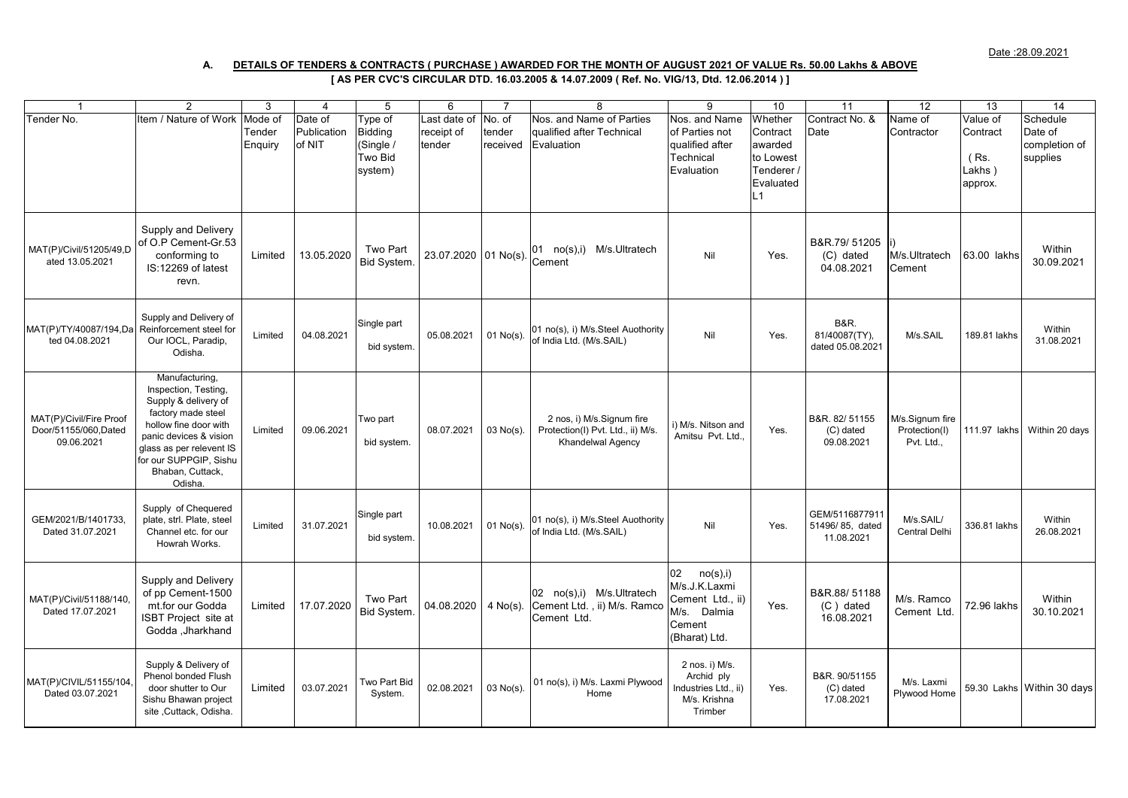## **[ AS PER CVC'S CIRCULAR DTD. 16.03.2005 & 14.07.2009 ( Ref. No. VIG/13, Dtd. 12.06.2014 ) ] A. DETAILS OF TENDERS & CONTRACTS ( PURCHASE ) AWARDED FOR THE MONTH OF AUGUST 2021 OF VALUE Rs. 50.00 Lakhs & ABOVE**

| $\overline{1}$                                                 | 2                                                                                                                                                                                                                            | 3       | $\overline{4}$ | 5                          | 6                    | $\overline{7}$ | 8                                                                                   | 9                                                                                              | 10        | 11                                                   | 12                                             | 13           | 14                         |
|----------------------------------------------------------------|------------------------------------------------------------------------------------------------------------------------------------------------------------------------------------------------------------------------------|---------|----------------|----------------------------|----------------------|----------------|-------------------------------------------------------------------------------------|------------------------------------------------------------------------------------------------|-----------|------------------------------------------------------|------------------------------------------------|--------------|----------------------------|
| Tender No.                                                     | tem / Nature of Work                                                                                                                                                                                                         | Mode of | Date of        | ype of                     | Last date of         | No. of         | Nos. and Name of Parties                                                            | Nos. and Name                                                                                  | Whether   | Contract No. &                                       | Name of                                        | Value of     | Schedule                   |
|                                                                |                                                                                                                                                                                                                              | Tender  | Publication    | <b>Bidding</b>             | receipt of           | tender         | qualified after Technical                                                           | of Parties not                                                                                 | Contract  | Date                                                 | Contractor                                     | Contract     | Date of                    |
|                                                                |                                                                                                                                                                                                                              | Enquiry | of NIT         | (Single /                  | tender               | received       | Evaluation                                                                          | qualified after                                                                                | awarded   |                                                      |                                                |              | completion of              |
|                                                                |                                                                                                                                                                                                                              |         |                | Two Bid                    |                      |                |                                                                                     | Technical                                                                                      | to Lowest |                                                      |                                                | (Rs)         | supplies                   |
|                                                                |                                                                                                                                                                                                                              |         |                | system)                    |                      |                |                                                                                     | Evaluation                                                                                     | Tenderer  |                                                      |                                                | Lakhs)       |                            |
|                                                                |                                                                                                                                                                                                                              |         |                |                            |                      |                |                                                                                     |                                                                                                | Evaluated |                                                      |                                                | approx.      |                            |
|                                                                |                                                                                                                                                                                                                              |         |                |                            |                      |                |                                                                                     |                                                                                                | L1        |                                                      |                                                |              |                            |
| MAT(P)/Civil/51205/49,D<br>ated 13.05.2021                     | Supply and Delivery<br>of O.P Cement-Gr.53<br>conforming to<br>IS:12269 of latest<br>revn.                                                                                                                                   | Limited | 13.05.2020     | Two Part<br>Bid System.    | 23.07.2020 01 No(s). |                | 01 no(s),i) M/s.Ultratech<br>Cement                                                 | Nil                                                                                            | Yes.      | B&R.79/51205<br>(C) dated<br>04.08.2021              | M/s.Ultratech<br>Cement                        | 63.00 lakhs  | Within<br>30.09.2021       |
| MAT(P)/TY/40087/194,Da<br>ted 04.08.2021                       | Supply and Delivery of<br>Reinforcement steel for<br>Our IOCL, Paradip,<br>Odisha.                                                                                                                                           | Limited | 04.08.2021     | Single part<br>bid system. | 05.08.2021           | $01$ No(s).    | 01 no(s), i) M/s.Steel Auothority<br>of India Ltd. (M/s.SAIL)                       | Nil                                                                                            | Yes.      | <b>B&amp;R.</b><br>81/40087(TY),<br>dated 05.08.2021 | M/s.SAIL                                       | 189.81 lakhs | Within<br>31.08.2021       |
| MAT(P)/Civil/Fire Proof<br>Door/51155/060, Dated<br>09.06.2021 | Manufacturing,<br>Inspection, Testing,<br>Supply & delivery of<br>factory made steel<br>hollow fine door with<br>panic devices & vision<br>glass as per relevent IS<br>for our SUPPGIP, Sishu<br>Bhaban, Cuttack,<br>Odisha. | Limited | 09.06.2021     | Two part<br>bid system.    | 08.07.2021           | 03 No(s).      | 2 nos, i) M/s.Signum fire<br>Protection(I) Pvt. Ltd., ii) M/s.<br>Khandelwal Agency | i) M/s. Nitson and<br>Amitsu Pvt. Ltd.                                                         | Yes.      | B&R. 82/51155<br>(C) dated<br>09.08.2021             | M/s.Signum fire<br>Protection(I)<br>Pvt. Ltd., | 111.97 lakhs | Within 20 days             |
| GEM/2021/B/1401733<br>Dated 31.07.2021                         | Supply of Chequered<br>plate, strl. Plate, steel<br>Channel etc. for our<br>Howrah Works.                                                                                                                                    | Limited | 31.07.2021     | Single part<br>bid system. | 10.08.2021           | $01$ No(s).    | 01 no(s), i) M/s.Steel Auothority<br>of India Ltd. (M/s.SAIL)                       | Nil                                                                                            | Yes.      | GEM/5116877911<br>51496/85, dated<br>11.08.2021      | M/s.SAIL/<br><b>Central Delhi</b>              | 336.81 lakhs | Within<br>26.08.2021       |
| MAT(P)/Civil/51188/140<br>Dated 17.07.2021                     | Supply and Delivery<br>of pp Cement-1500<br>mt.for our Godda<br><b>ISBT Project site at</b><br>Godda , Jharkhand                                                                                                             | Limited | 17.07.2020     | Two Part<br>Bid System.    | 04.08.2020           | $4$ No(s).     | 02 no(s),i) M/s.Ultratech<br>Cement Ltd., ii) M/s. Ramco<br>Cement Ltd.             | 02<br>no(s), i)<br>M/s.J.K.Laxmi<br>Cement Ltd., ii)<br>M/s. Dalmia<br>Cement<br>(Bharat) Ltd. | Yes.      | B&R.88/51188<br>(C) dated<br>16.08.2021              | M/s. Ramco<br>Cement Ltd.                      | 72.96 lakhs  | Within<br>30.10.2021       |
| MAT(P)/CIVIL/51155/104<br>Dated 03.07.2021                     | Supply & Delivery of<br><b>Phenol bonded Flush</b><br>door shutter to Our<br>Sishu Bhawan project<br>site, Cuttack, Odisha.                                                                                                  | Limited | 03.07.2021     | Two Part Bid<br>System.    | 02.08.2021           | $03$ No(s).    | 01 no(s), i) M/s. Laxmi Plywood<br>Home                                             | 2 nos. i) M/s.<br>Archid ply<br>Industries Ltd., ii)<br>M/s. Krishna<br>Trimber                | Yes.      | B&R. 90/51155<br>(C) dated<br>17.08.2021             | M/s. Laxmi<br>Plywood Home                     |              | 59.30 Lakhs Within 30 days |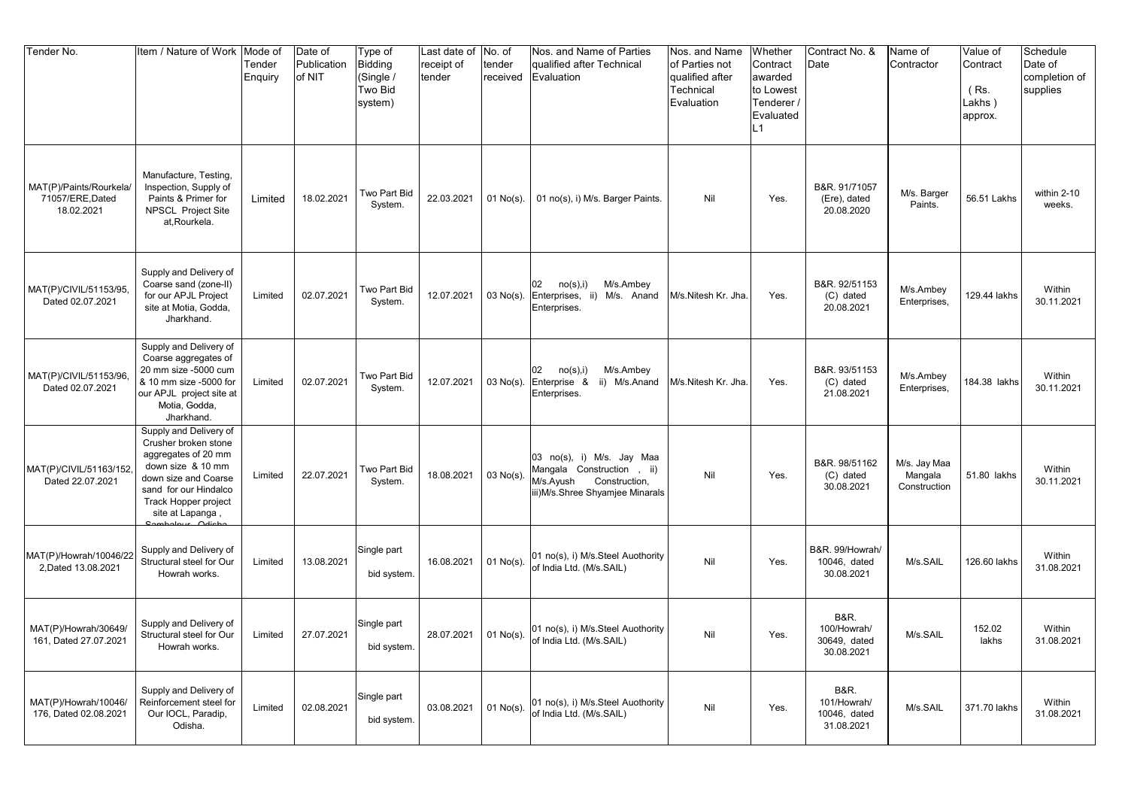| Tender No.                                                | Item / Nature of Work                                                                                                                                                                   | Mode of<br>Tender<br>Enquiry | Date of<br>Publication<br>of NIT | Type of<br><b>Bidding</b><br>(Single /<br><b>Two Bid</b><br>system) | Last date of No. of<br>receipt of<br>tender | tender<br>received | Nos. and Name of Parties<br>qualified after Technical<br>Evaluation                                                     | Nos. and Name<br>of Parties not<br>qualified after<br>Technical<br>Evaluation | Whether<br>Contract<br>awarded<br>to Lowest<br>Tenderer /<br>Evaluated<br>L1 | Contract No. &<br>Date                                       | Name of<br>Contractor                   | Value of<br>Contract<br>$(Rs)$ .<br>Lakhs)<br>approx. | Schedule<br>Date of<br>completion of<br>supplies |
|-----------------------------------------------------------|-----------------------------------------------------------------------------------------------------------------------------------------------------------------------------------------|------------------------------|----------------------------------|---------------------------------------------------------------------|---------------------------------------------|--------------------|-------------------------------------------------------------------------------------------------------------------------|-------------------------------------------------------------------------------|------------------------------------------------------------------------------|--------------------------------------------------------------|-----------------------------------------|-------------------------------------------------------|--------------------------------------------------|
| MAT(P)/Paints/Rourkela/<br>71057/ERE, Dated<br>18.02.2021 | Manufacture, Testing,<br>Inspection, Supply of<br>Paints & Primer for<br><b>NPSCL Project Site</b><br>at.Rourkela.                                                                      | Limited                      | 18.02.2021                       | Two Part Bid<br>System.                                             | 22.03.2021                                  | $01$ No(s).        | 01 no(s), i) M/s. Barger Paints.                                                                                        | Nil                                                                           | Yes.                                                                         | B&R. 91/71057<br>(Ere), dated<br>20.08.2020                  | M/s. Barger<br>Paints.                  | 56.51 Lakhs                                           | within 2-10<br>weeks.                            |
| MAT(P)/CIVIL/51153/95,<br>Dated 02.07.2021                | Supply and Delivery of<br>Coarse sand (zone-II)<br>for our APJL Project<br>site at Motia, Godda,<br>Jharkhand.                                                                          | Limited                      | 02.07.2021                       | Two Part Bid<br>System.                                             | 12.07.2021                                  | 03 No(s).          | 02<br>no(s), i)<br>M/s.Ambey<br>Enterprises, ii) M/s. Anand<br>Enterprises.                                             | M/s.Nitesh Kr. Jha.                                                           | Yes.                                                                         | B&R. 92/51153<br>(C) dated<br>20.08.2021                     | M/s.Ambey<br>Enterprises,               | 129.44 lakhs                                          | Within<br>30.11.2021                             |
| MAT(P)/CIVIL/51153/96<br>Dated 02.07.2021                 | Supply and Delivery of<br>Coarse aggregates of<br>20 mm size -5000 cum<br>& 10 mm size -5000 for<br>our APJL project site at<br>Motia, Godda,<br>Jharkhand.                             | Limited                      | 02.07.2021                       | Two Part Bid<br>System.                                             | 12.07.2021                                  | 03 No(s).          | 02<br>no(s), i)<br>M/s.Ambey<br>Enterprise & ii) M/s.Anand<br>Enterprises.                                              | M/s.Nitesh Kr. Jha                                                            | Yes.                                                                         | B&R. 93/51153<br>(C) dated<br>21.08.2021                     | M/s.Ambey<br>Enterprises,               | 84.38 lakhs                                           | Within<br>30.11.2021                             |
| MAT(P)/CIVIL/51163/152,<br>Dated 22.07.2021               | Supply and Delivery of<br>Crusher broken stone<br>aggregates of 20 mm<br>down size & 10 mm<br>down size and Coarse<br>sand for our Hindalco<br>Track Hopper project<br>site at Lapanga, | Limited                      | 22.07.2021                       | Two Part Bid<br>System.                                             | 18.08.2021                                  | 03 No(s).          | 03 no(s), i) M/s. Jay Maa<br>Mangala Construction, ii)<br>M/s.Ayush<br>Construction,<br>iii)M/s.Shree Shyamjee Minarals | Nil                                                                           | Yes.                                                                         | B&R. 98/51162<br>(C) dated<br>30.08.2021                     | M/s. Jay Maa<br>Mangala<br>Construction | 51.80 lakhs                                           | Within<br>30.11.2021                             |
| MAT(P)/Howrah/10046/2<br>2, Dated 13.08.2021              | Supply and Delivery of<br>Structural steel for Our<br>Howrah works.                                                                                                                     | Limited                      | 13.08.2021                       | Single part<br>bid system.                                          | 16.08.2021                                  | 01 No(s).          | 01 no(s), i) M/s.Steel Auothority<br>of India Ltd. (M/s.SAIL)                                                           | Nil                                                                           | Yes.                                                                         | B&R. 99/Howrah/<br>10046, dated<br>30.08.2021                | M/s.SAIL                                | 126.60 lakhs                                          | Within<br>31.08.2021                             |
| MAT(P)/Howrah/30649/<br>161, Dated 27.07.2021             | Supply and Delivery of<br>Structural steel for Our<br>Howrah works.                                                                                                                     | Limited                      | 27.07.2021                       | Single part<br>bid system.                                          | 28.07.2021                                  | $01$ No(s).        | 01 no(s), i) M/s.Steel Auothority<br>of India Ltd. (M/s.SAIL)                                                           | Nil                                                                           | Yes.                                                                         | <b>B&amp;R.</b><br>100/Howrah/<br>30649, dated<br>30.08.2021 | M/s.SAIL                                | 152.02<br>lakhs                                       | Within<br>31.08.2021                             |
| MAT(P)/Howrah/10046/<br>176, Dated 02.08.2021             | Supply and Delivery of<br>Reinforcement steel for<br>Our IOCL, Paradip,<br>Odisha.                                                                                                      | Limited                      | 02.08.2021                       | Single part<br>bid system.                                          | 03.08.2021                                  | 01 No(s).          | 01 no(s), i) M/s.Steel Auothority<br>of India Ltd. (M/s.SAIL)                                                           | Nil                                                                           | Yes.                                                                         | <b>B&amp;R.</b><br>101/Howrah/<br>10046, dated<br>31.08.2021 | M/s.SAIL                                | 371.70 lakhs                                          | Within<br>31.08.2021                             |